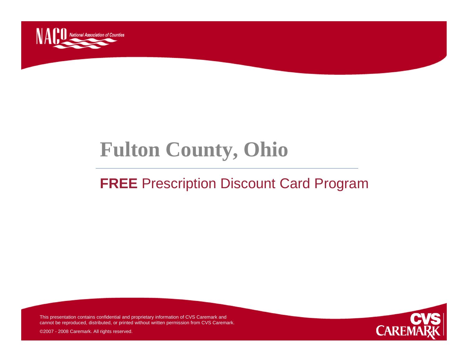

# **Fulton County, Ohio**

### **FREE** Prescription Discount Card Program



This presentation contains confidential and proprietary information of CVS Caremark and cannot be reproduced, distributed, or printed without written permission from CVS Caremark.

©2007 - 2008 Caremark. All rights reserved.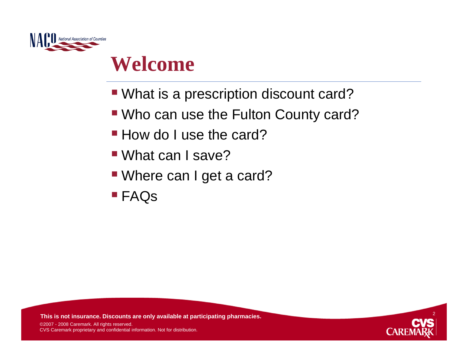

## **Welcome**

- What is a prescription discount card?
- Who can use the Fulton County card?
- **How do I use the card?**
- What can I save?
- Where can I get a card?
- FAQs

**This is not insurance. Discounts are only available at participating pharmacies.**



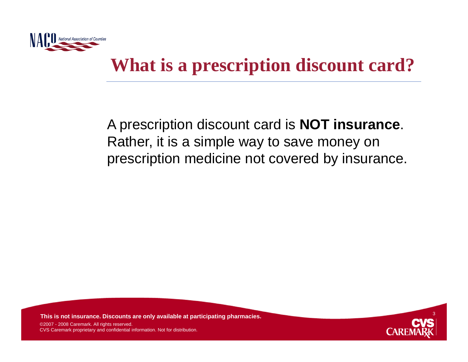

## **What is a prescription discount card?**

A prescription discount card is **NOT insurance**. Rather, it is a simple way to save money on prescription medicine not covered by insurance.

**This is not insurance. Discounts are only available at participating pharmacies.**

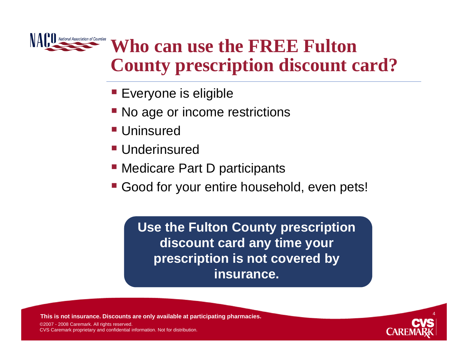

## **Who can use the FREE Fulton County prescription discount card?**

- **Everyone is eligible**
- No age or income restrictions
- Uninsured
- Underinsured
- Medicare Part D participants
- **Good for your entire household, even pets!**

**Use the Fulton County prescription discount card any time your prescription is not covered by insurance.**

**This is not insurance. Discounts are only available at participating pharmacies.**

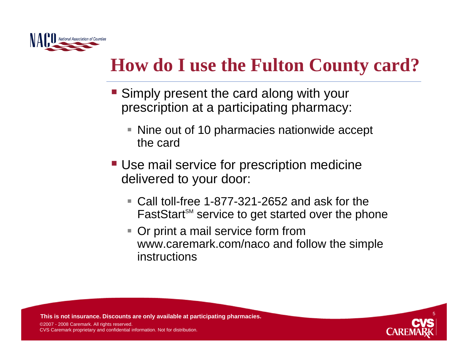

## **How do I use the Fulton County card?**

- **Simply present the card along with your** prescription at a participating pharmacy:
	- Nine out of 10 pharmacies nationwide accept the card
- Use mail service for prescription medicine delivered to your door:
	- Call toll-free 1-877-321-2652 and ask for the FastStart<sup>™</sup> service to get started over the phone
	- $\Box$  Or print a mail service form from www.caremark.com/naco and follow the simple instructions

**This is not insurance. Discounts are only available at participating pharmacies.**

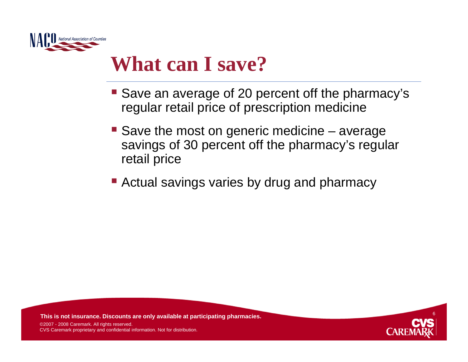

## **What can I save?**

- Save an average of 20 percent off the pharmacy's regular retail price of prescription medicine
- Save the most on generic medicine average savings of 30 percent off the pharmacy's regular retail price
- **E** Actual savings varies by drug and pharmacy

**This is not insurance. Discounts are only available at participating pharmacies.**

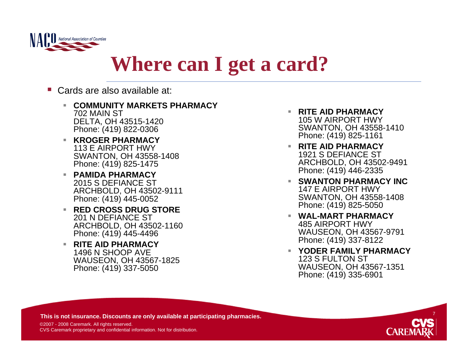

## **Where can I get a card?**

- P. Cards are also available at:
	- **COMMUNITY MARKETS PHARMACY**702 MAIN STDELTA, OH 43515-1420 Phone: (419) 822-0306
	- **KROGER PHARMACY**113 E AIRPORT HWYSWANTON, OH 43558-1408 Phone: (419) 825-1475
	- **PAMIDA PHARMACY**2015 S DEFIANCE STARCHBOLD, OH 43502-9111 Phone: (419) 445-0052
	- **RED CROSS DRUG STORE**201 N DEFIANCE STARCHBOLD, OH 43502-1160 Phone: (419) 445-4496
	- **RITE AID PHARMACY**1496 N SHOOP AVEWAUSEON, OH 43567-1825 Phone: (419) 337-5050
- **RITE AID PHARMACY**105 W AIRPORT HWYSWANTON, OH 43558-1410 Phone: (419) 825-1161
- **RITE AID PHARMACY**1921 S DEFIANCE STARCHBOLD, OH 43502-9491 Phone: (419) 446-2335
- $\mathcal{L}_{\mathcal{A}}$  **SWANTON PHARMACY INC**147 E AIRPORT HWYSWANTON, OH 43558-1408 Phone: (419) 825-5050
- **WAL-MART PHARMACY**485 AIRPORT HWYWAUSEON, OH 43567-9791 Phone: (419) 337-8122
- **YODER FAMILY PHARMACY**123 S FULTON STWAUSEON, OH 43567-1351 Phone: (419) 335-6901

**This is not insurance. Discounts are only available at participating pharmacies.**

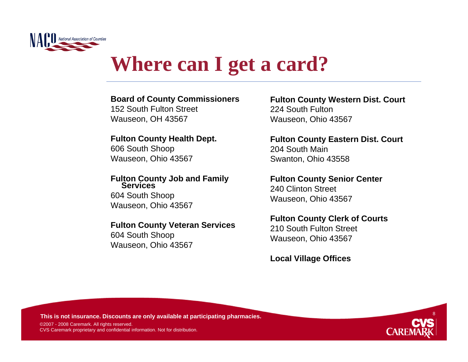

# **Where can I get a card?**

#### **Board of County Commissioners**

152 South Fulton StreetWauseon, OH 43567

### **Fulton County Health Dept.**

606 South Shoop Wauseon, Ohio 43567

#### **Fulton County Job and Family Services**604 South Shoop Wauseon, Ohio 43567

#### **Fulton County Veteran Services**

604 South Shoop Wauseon, Ohio 43567 **Fulton County Western Dist. Court** 224 South FultonWauseon, Ohio 43567

**Fulton County Eastern Dist. Court** 204 South MainSwanton, Ohio 43558

**Fulton County Senior Center** 240 Clinton StreetWauseon, Ohio 43567

#### **Fulton County Clerk of Courts**

210 South Fulton StreetWauseon, Ohio 43567

**Local Village Offices**

**This is not insurance. Discounts are only available at participating pharmacies.**

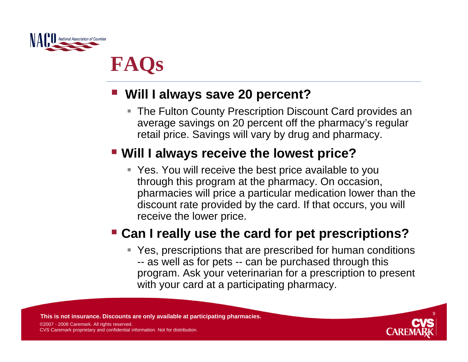

# **FAQs**

#### $\mathcal{L}(\mathcal{L})$ **Will I always save 20 percent?**

■ The Fulton County Prescription Discount Card provides an average savings on 20 percent off the pharmacy's regular retail price. Savings will vary by drug and pharmacy.

### **Will I always receive the lowest price?**

 Yes. You will receive the best price available to you through this program at the pharmacy. On occasion, pharmacies will price a particular medication lower than the discount rate provided by the card. If that occurs, you will receive the lower price.

### **Can I really use the card for pet prescriptions?**

■ Yes, prescriptions that are prescribed for human conditions -- as well as for pets -- can be purchased through this program. Ask your veterinarian for a prescription to present with your card at a participating pharmacy.

**This is not insurance. Discounts are only available at participating pharmacies.**

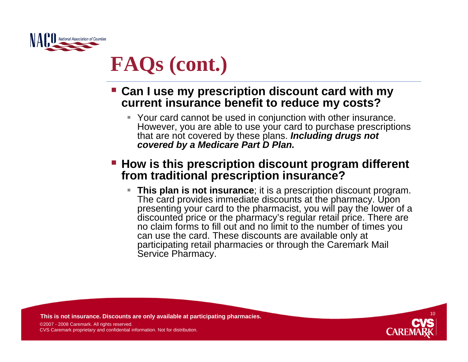

# **FAQs (cont.)**

- **Can I use my prescription discount card with my current insurance benefit to reduce my costs?**
	- Your card cannot be used in conjunction with other insurance. However, you are able to use your card to purchase prescriptions that are not covered by these plans. *Including drugs not covered by a Medicare Part D Plan.*

#### **How is this prescription discount program different from traditional prescription insurance?**

 **This plan is not insurance**; it is a prescription discount program. The card provides immediate discounts at the pharmacy. Upon presenting your card to the pharmacist, you will pay the lower of a discounted price or the pharmacy's regular retail price. There are no claim forms to fill out and no limit to the number of times you can use the card. These discounts are available only at participating retail pharmacies or through the Caremark Mail Service Pharmacy.

**This is not insurance. Discounts are only available at participating pharmacies.**